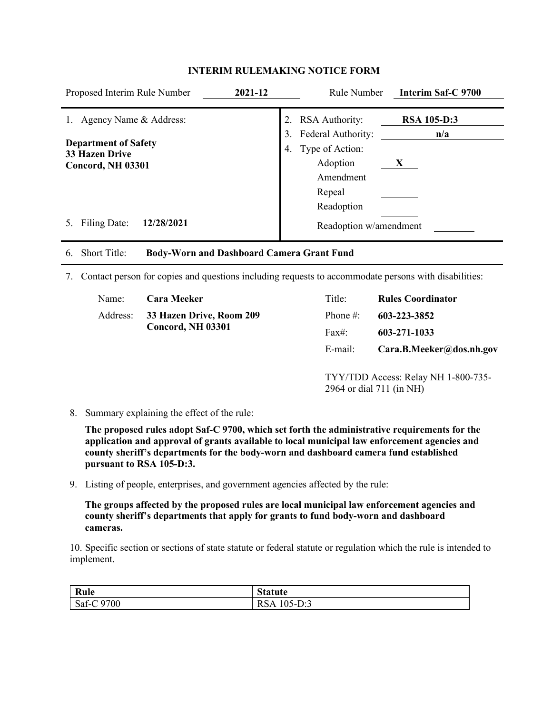| Proposed Interim Rule Number                                                                        | 2021-12        | Rule Number                                                                | Interim Saf-C 9700                        |
|-----------------------------------------------------------------------------------------------------|----------------|----------------------------------------------------------------------------|-------------------------------------------|
| Agency Name & Address:<br><b>Department of Safety</b><br><b>33 Hazen Drive</b><br>Concord, NH 03301 | 2.<br>3.<br>4. | <b>RSA</b> Authority:<br>Federal Authority:<br>Type of Action:<br>Adoption | <b>RSA 105-D:3</b><br>n/a<br>$\mathbf{X}$ |
| Filing Date:<br>12/28/2021                                                                          |                | Amendment<br>Repeal<br>Readoption<br>Readoption w/amendment                |                                           |
| <b>Short Title:</b><br><b>Body-Worn and Dashboard Camera Grant Fund</b><br>6.                       |                |                                                                            |                                           |

## **INTERIM RULEMAKING NOTICE FORM**

7. Contact person for copies and questions including requests to accommodate persons with disabilities:

| Name: | <b>Cara Meeker</b>                                     | Title:    | <b>Rules Coordinator</b> |
|-------|--------------------------------------------------------|-----------|--------------------------|
|       | Address: 33 Hazen Drive, Room 209<br>Concord, NH 03301 | Phone #:  | 603-223-3852             |
|       |                                                        | $Fax\#$ : | 603-271-1033             |
|       |                                                        | E-mail:   | Cara.B.Meeker@dos.nh.gov |

TYY/TDD Access: Relay NH 1-800-735- 2964 or dial 711 (in NH)

8. Summary explaining the effect of the rule:

**The proposed rules adopt Saf-C 9700, which set forth the administrative requirements for the application and approval of grants available to local municipal law enforcement agencies and county sheriff's departments for the body-worn and dashboard camera fund established pursuant to RSA 105-D:3.**

9. Listing of people, enterprises, and government agencies affected by the rule:

**The groups affected by the proposed rules are local municipal law enforcement agencies and county sheriff's departments that apply for grants to fund body-worn and dashboard cameras.**

10. Specific section or sections of state statute or federal statute or regulation which the rule is intended to implement.

| Rule       | <b>Statute</b> |
|------------|----------------|
| Saf-C 9700 | RSA 105-D:3    |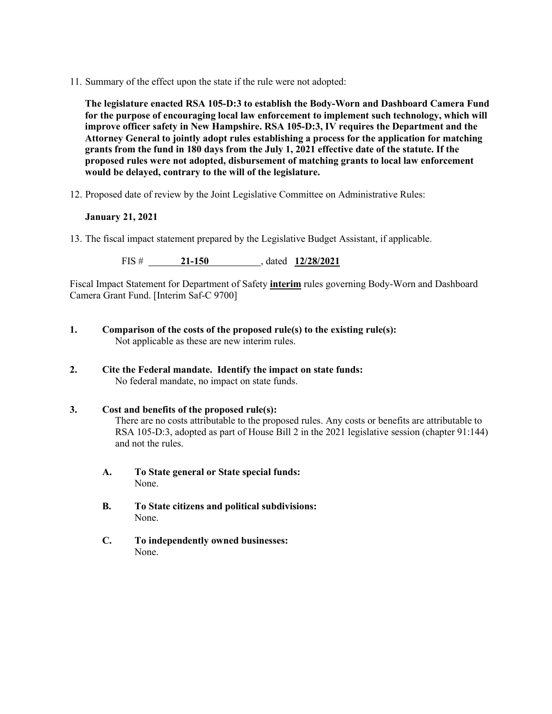11. Summary of the effect upon the state if the rule were not adopted:

**The legislature enacted RSA 105-D:3 to establish the Body-Worn and Dashboard Camera Fund for the purpose of encouraging local law enforcement to implement such technology, which will improve officer safety in New Hampshire. RSA 105-D:3, IV requires the Department and the Attorney General to jointly adopt rules establishing a process for the application for matching grants from the fund in 180 days from the July 1, 2021 effective date of the statute. If the proposed rules were not adopted, disbursement of matching grants to local law enforcement would be delayed, contrary to the will of the legislature.**

12. Proposed date of review by the Joint Legislative Committee on Administrative Rules:

# **January 21, 2021**

13. The fiscal impact statement prepared by the Legislative Budget Assistant, if applicable.

FIS # **21-150** , dated **12/28/2021**

Fiscal Impact Statement for Department of Safety **interim** rules governing Body-Worn and Dashboard Camera Grant Fund. [Interim Saf-C 9700]

- **1. Comparison of the costs of the proposed rule(s) to the existing rule(s):** Not applicable as these are new interim rules.
- **2. Cite the Federal mandate. Identify the impact on state funds:** No federal mandate, no impact on state funds.
- **3. Cost and benefits of the proposed rule(s):** There are no costs attributable to the proposed rules. Any costs or benefits are attributable to RSA 105-D:3, adopted as part of House Bill 2 in the 2021 legislative session (chapter 91:144) and not the rules.
	- **A. To State general or State special funds:** None.
	- **B. To State citizens and political subdivisions:** None.
	- **C. To independently owned businesses:** None.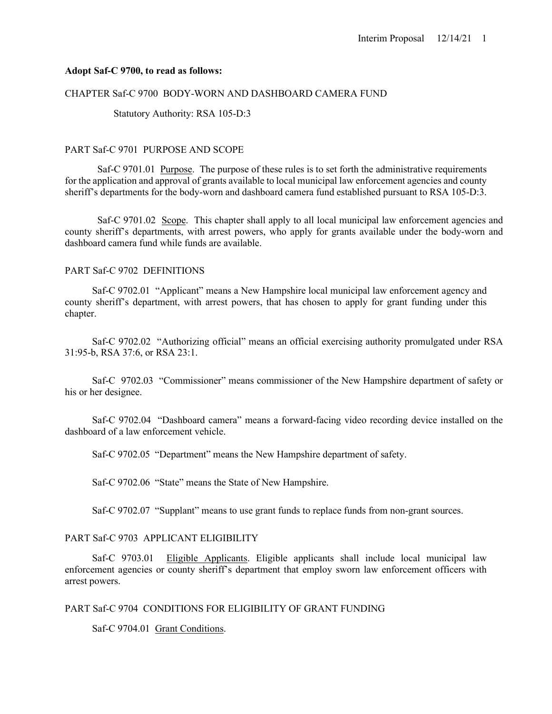### **Adopt Saf-C 9700, to read as follows:**

#### CHAPTER Saf-C 9700 BODY-WORN AND DASHBOARD CAMERA FUND

Statutory Authority: RSA 105-D:3

### PART Saf-C 9701 PURPOSE AND SCOPE

Saf-C 9701.01 Purpose. The purpose of these rules is to set forth the administrative requirements for the application and approval of grants available to local municipal law enforcement agencies and county sheriff's departments for the body-worn and dashboard camera fund established pursuant to RSA 105-D:3.

Saf-C 9701.02 Scope. This chapter shall apply to all local municipal law enforcement agencies and county sheriff's departments, with arrest powers, who apply for grants available under the body-worn and dashboard camera fund while funds are available.

# PART Saf-C 9702 DEFINITIONS

Saf-C 9702.01 "Applicant" means a New Hampshire local municipal law enforcement agency and county sheriff's department, with arrest powers, that has chosen to apply for grant funding under this chapter.

Saf-C 9702.02 "Authorizing official" means an official exercising authority promulgated under RSA 31:95-b, RSA 37:6, or RSA 23:1.

Saf-C 9702.03 "Commissioner" means commissioner of the New Hampshire department of safety or his or her designee.

Saf-C 9702.04 "Dashboard camera" means a forward-facing video recording device installed on the dashboard of a law enforcement vehicle.

Saf-C 9702.05 "Department" means the New Hampshire department of safety.

Saf-C 9702.06 "State" means the State of New Hampshire.

Saf-C 9702.07 "Supplant" means to use grant funds to replace funds from non-grant sources.

# PART Saf-C 9703 APPLICANT ELIGIBILITY

Saf-C 9703.01 Eligible Applicants. Eligible applicants shall include local municipal law enforcement agencies or county sheriff's department that employ sworn law enforcement officers with arrest powers.

### PART Saf-C 9704 CONDITIONS FOR ELIGIBILITY OF GRANT FUNDING

Saf-C 9704.01 Grant Conditions.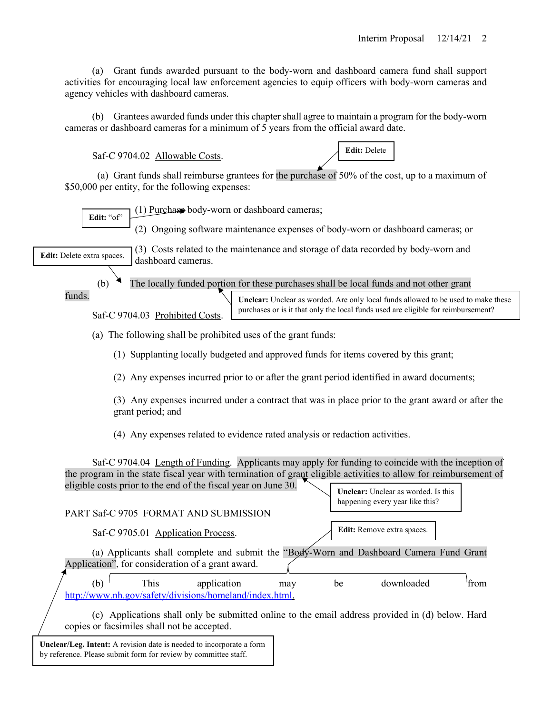(a) Grant funds awarded pursuant to the body-worn and dashboard camera fund shall support activities for encouraging local law enforcement agencies to equip officers with body-worn cameras and agency vehicles with dashboard cameras.

(b) Grantees awarded funds under this chapter shall agree to maintain a program for the body-worn cameras or dashboard cameras for a minimum of 5 years from the official award date.

Saf-C 9704.02 Allowable Costs.

**Edit:** Delete

(a) Grant funds shall reimburse grantees for the purchase of 50% of the cost, up to a maximum of \$50,000 per entity, for the following expenses:

(1) Purchase body-worn or dashboard cameras;

(2) Ongoing software maintenance expenses of body-worn or dashboard cameras; or

(3) Costs related to the maintenance and storage of data recorded by body-worn and

**Edit:** Delete extra spaces.

**Edit:** "of"

(b) The locally funded portion for these purchases shall be local funds and not other grant

funds.

Saf-C 9704.03 Prohibited Costs.

dashboard cameras.

**Unclear:** Unclear as worded. Are only local funds allowed to be used to make these purchases or is it that only the local funds used are eligible for reimbursement?

(a) The following shall be prohibited uses of the grant funds:

(1) Supplanting locally budgeted and approved funds for items covered by this grant;

(2) Any expenses incurred prior to or after the grant period identified in award documents;

(3) Any expenses incurred under a contract that was in place prior to the grant award or after the grant period; and

(4) Any expenses related to evidence rated analysis or redaction activities.

Saf-C 9704.04 Length of Funding. Applicants may apply for funding to coincide with the inception of the program in the state fiscal year with termination of grant eligible activities to allow for reimbursement of eligible costs prior to the end of the fiscal year on June 30. **Unclear:** Unclear as worded. Is this

|  |     |      |                                                                        |     |    | happening every year like this?                                                         |       |
|--|-----|------|------------------------------------------------------------------------|-----|----|-----------------------------------------------------------------------------------------|-------|
|  |     |      | PART Saf-C 9705 FORMAT AND SUBMISSION                                  |     |    |                                                                                         |       |
|  |     |      | Saf-C 9705.01 Application Process.                                     |     |    | <b>Edit:</b> Remove extra spaces.                                                       |       |
|  |     |      |                                                                        |     |    | (a) Applicants shall complete and submit the "Body-Worn and Dashboard Camera Fund Grant |       |
|  |     |      | Application", for consideration of a grant award.                      |     |    |                                                                                         |       |
|  | (b) | This | application<br>http://www.nh.gov/safety/divisions/homeland/index.html. | may | be | downloaded                                                                              | 'from |
|  |     |      |                                                                        |     |    |                                                                                         |       |

(c) Applications shall only be submitted online to the email address provided in (d) below. Hard copies or facsimiles shall not be accepted.

**Unclear/Leg. Intent:** A revision date is needed to incorporate a form by reference. Please submit form for review by committee staff.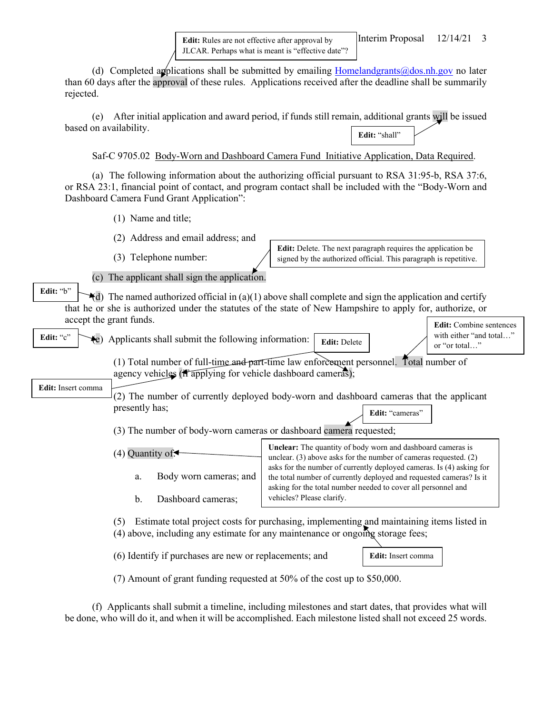**Edit:** Rules are not effective after approval by JLCAR. Perhaps what is meant is "effective date"?

(d) Completed applications shall be submitted by emailing  $Homeland grants@dos.nh.gov$  no later than 60 days after the approval of these rules. Applications received after the deadline shall be summarily rejected.

(e) After initial application and award period, if funds still remain, additional grants will be issued based on availability. **Edit:** "shall"

Saf-C 9705.02 Body-Worn and Dashboard Camera Fund Initiative Application, Data Required.

(a) The following information about the authorizing official pursuant to RSA 31:95-b, RSA 37:6, or RSA 23:1, financial point of contact, and program contact shall be included with the "Body-Worn and Dashboard Camera Fund Grant Application":

(1) Name and title;

(2) Address and email address; and

(3) Telephone number:

**Edit:** Delete. The next paragraph requires the application be signed by the authorized official. This paragraph is repetitive.

(c) The applicant shall sign the application.

 $\triangleleft$ d) The named authorized official in (a)(1) above shall complete and sign the application and certify that he or she is authorized under the statutes of the state of New Hampshire to apply for, authorize, or accept the grant funds. **Edit:** "b"

 $(e)$  Applicants shall submit the following information: **Edit:** "c"

**Edit:** Combine sentences with either "and total…" **Edit:** Delete **Figure 1.1.** The state of the state of the state of the state of the state of the state of the state of the state of the state of the state of the state of the state of the state of the state of the state o

(1) Total number of full-time and part-time law enforcement personnel. Total number of agency vehicles  $(f_1 \widetilde{\text{applying}})$  for vehicle dashboard cameras);

**Edit:** Insert comma

(2) The number of currently deployed body-worn and dashboard cameras that the applicant presently has; Edit: "cameras"

(3) The number of body-worn cameras or dashboard camera requested;

| $(4)$ Quantity of $\leftarrow$ | <b>Unclear:</b> The quantity of body worn and dashboard cameras is<br>unclear. $(3)$ above asks for the number of cameras requested. $(2)$ |  |
|--------------------------------|--------------------------------------------------------------------------------------------------------------------------------------------|--|
| Body worn cameras; and         | asks for the number of currently deployed cameras. Is (4) asking for                                                                       |  |
| a.                             | the total number of currently deployed and requested cameras? Is it                                                                        |  |
| Dashboard cameras;             | asking for the total number needed to cover all personnel and                                                                              |  |
| $b_{-}$                        | vehicles? Please clarify.                                                                                                                  |  |

(5) Estimate total project costs for purchasing, implementing and maintaining items listed in  $(4)$  above, including any estimate for any maintenance or ongoing storage fees;

(6) Identify if purchases are new or replacements; and

**Edit:** Insert comma

(7) Amount of grant funding requested at 50% of the cost up to \$50,000.

(f) Applicants shall submit a timeline, including milestones and start dates, that provides what will be done, who will do it, and when it will be accomplished. Each milestone listed shall not exceed 25 words.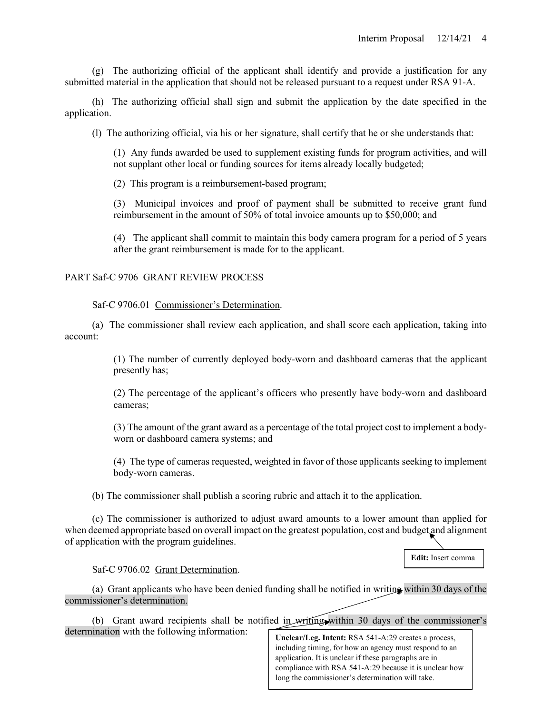(g) The authorizing official of the applicant shall identify and provide a justification for any submitted material in the application that should not be released pursuant to a request under RSA 91-A.

(h) The authorizing official shall sign and submit the application by the date specified in the application.

(l) The authorizing official, via his or her signature, shall certify that he or she understands that:

(1) Any funds awarded be used to supplement existing funds for program activities, and will not supplant other local or funding sources for items already locally budgeted;

(2) This program is a reimbursement-based program;

(3) Municipal invoices and proof of payment shall be submitted to receive grant fund reimbursement in the amount of 50% of total invoice amounts up to \$50,000; and

(4) The applicant shall commit to maintain this body camera program for a period of 5 years after the grant reimbursement is made for to the applicant.

# PART Saf-C 9706 GRANT REVIEW PROCESS

Saf-C 9706.01 Commissioner's Determination.

(a) The commissioner shall review each application, and shall score each application, taking into account:

> (1) The number of currently deployed body-worn and dashboard cameras that the applicant presently has;

> (2) The percentage of the applicant's officers who presently have body-worn and dashboard cameras;

> (3) The amount of the grant award as a percentage of the total project cost to implement a bodyworn or dashboard camera systems; and

> (4) The type of cameras requested, weighted in favor of those applicants seeking to implement body-worn cameras.

(b) The commissioner shall publish a scoring rubric and attach it to the application.

(c) The commissioner is authorized to adjust award amounts to a lower amount than applied for when deemed appropriate based on overall impact on the greatest population, cost and budget and alignment of application with the program guidelines.

**Edit:** Insert comma

#### Saf-C 9706.02 Grant Determination.

(a) Grant applicants who have been denied funding shall be notified in writing within 30 days of the commissioner's determination.

(b) Grant award recipients shall be notified in writing within 30 days of the commissioner's determination with the following information:

**Unclear/Leg. Intent:** RSA 541-A:29 creates a process, including timing, for how an agency must respond to an application. It is unclear if these paragraphs are in compliance with RSA 541-A:29 because it is unclear how long the commissioner's determination will take.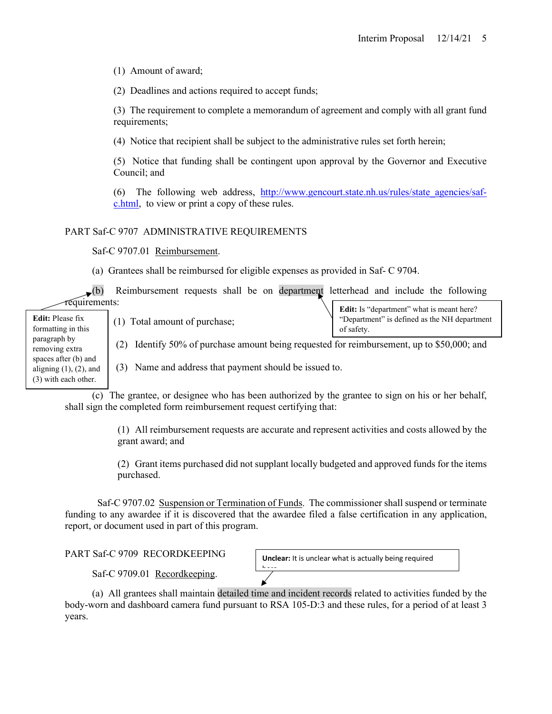(1) Amount of award;

(2) Deadlines and actions required to accept funds;

(3) The requirement to complete a memorandum of agreement and comply with all grant fund requirements;

(4) Notice that recipient shall be subject to the administrative rules set forth herein;

(5) Notice that funding shall be contingent upon approval by the Governor and Executive Council; and

(6) The following web address, [http://www.gencourt.state.nh.us/rules/state\\_agencies/saf](http://www.gencourt.state.nh.us/rules/state_agencies/saf-c.html)[c.html,](http://www.gencourt.state.nh.us/rules/state_agencies/saf-c.html) to view or print a copy of these rules.

# PART Saf-C 9707 ADMINISTRATIVE REQUIREMENTS

Saf-C 9707.01 Reimbursement.

(a) Grantees shall be reimbursed for eligible expenses as provided in Saf- C 9704.

| $\mathbf{E}(\mathbf{b})$                                                     | Reimbursement requests shall be on department letterhead and include the following              |                                                            |  |
|------------------------------------------------------------------------------|-------------------------------------------------------------------------------------------------|------------------------------------------------------------|--|
| réquirements:                                                                |                                                                                                 | Edit: Is "department" what is meant here?                  |  |
| <b>Edit:</b> Please fix<br>formatting in this                                | Total amount of purchase;<br>(1)                                                                | "Department" is defined as the NH department<br>of safety. |  |
| paragraph by<br>removing extra                                               | Identify 50% of purchase amount being requested for reimbursement, up to \$50,000; and<br>(2)   |                                                            |  |
| spaces after (b) and<br>aligning $(1)$ , $(2)$ , and<br>(3) with each other. | Name and address that payment should be issued to.<br>(3)                                       |                                                            |  |
|                                                                              | $(c)$ The grappe or designee who has been authorized by the grappe to sign on his or her behalf |                                                            |  |

(c) The grantee, or designee who has been authorized by the grantee to sign on his or her behalf, shall sign the completed form reimbursement request certifying that:

> (1) All reimbursement requests are accurate and represent activities and costs allowed by the grant award; and

> (2) Grant items purchased did not supplant locally budgeted and approved funds for the items purchased.

Saf-C 9707.02 Suspension or Termination of Funds. The commissioner shall suspend or terminate funding to any awardee if it is discovered that the awardee filed a false certification in any application, report, or document used in part of this program.

PART Saf-C 9709 RECORDKEEPING

**Unclear:** It is unclear what is actually being required

Saf-C 9709.01 Recordkeeping.

(a) All grantees shall maintain detailed time and incident records related to activities funded by the body-worn and dashboard camera fund pursuant to RSA 105-D:3 and these rules, for a period of at least 3 years.

 $\frac{1}{\sqrt{2}}$